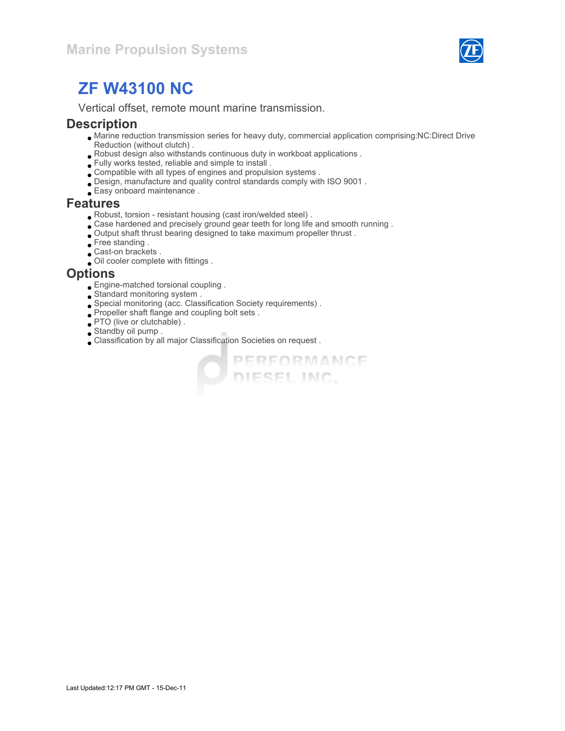

# ZF W43100 NC

Vertical offset, remote mount marine transmission.

#### **Description**

Marine reduction transmission series for heavy duty, commercial application comprising:NC:Direct Drive Reduction (without clutch) .

**O PERFORMANCE** 

- Robust design also withstands continuous duty in workboat applications .
- Fully works tested, reliable and simple to install .
- Compatible with all types of engines and propulsion systems .
- Design, manufacture and quality control standards comply with ISO 9001 .
- Easy onboard maintenance .

#### Features

- Robust, torsion resistant housing (cast iron/welded steel) .
- $\bullet$  Case hardened and precisely ground gear teeth for long life and smooth running .
- Output shaft thrust bearing designed to take maximum propeller thrust .
- Free standing .
- Cast-on brackets .
- Oil cooler complete with fittings .

#### **Options**

- Engine-matched torsional coupling .
- Standard monitoring system .
- Special monitoring (acc. Classification Society requirements) .
- Propeller shaft flange and coupling bolt sets .
- PTO (live or clutchable).
- Standby oil pump .
- Classification by all major Classification Societies on request .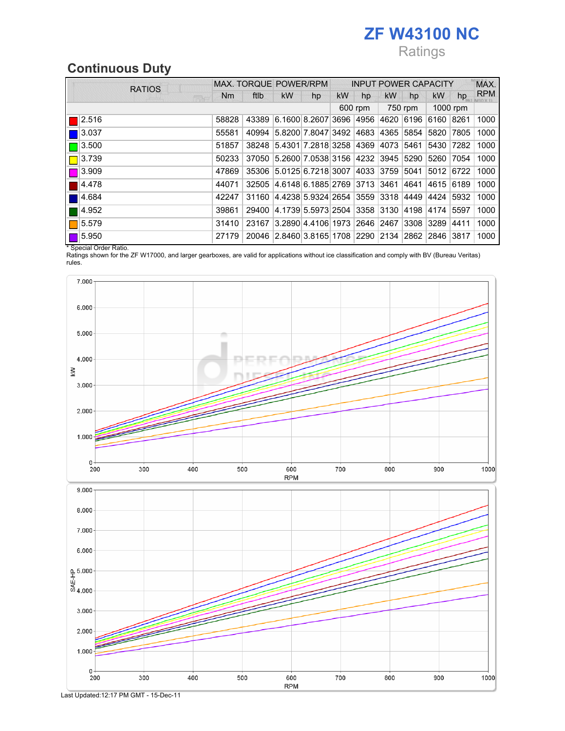# ZF W43100 NC

# Ratings

## Continuous Duty

| <b>RATIOS</b>        | MAX. TORQUE POWER/RPM |       |                                                   |    | <b>INPUT POWER CAPACITY</b> |         |           |         |           | MAX.     |            |
|----------------------|-----------------------|-------|---------------------------------------------------|----|-----------------------------|---------|-----------|---------|-----------|----------|------------|
| <b>FEWS</b>          | Nm                    | ftlb  | <b>kW</b>                                         | hp | kW                          | hp      | <b>kW</b> | hp      | kW        | hp       | <b>RPM</b> |
|                      |                       |       |                                                   |    |                             | 600 rpm |           | 750 rpm |           | 1000 rpm |            |
| 2.516                | 58828                 | 43389 | 6.1600 8.2607 3696 4956 4620 6196                 |    |                             |         |           |         | 6160      | 8261     | 1000       |
| 3.037                | 55581                 | 40994 | 5.8200 7.8047 3492 4683 4365 5854                 |    |                             |         |           |         | 5820      | 7805     | 1000       |
| 3.500                | 51857                 |       | 38248 5.4301 7.2818 3258 4369 4073 5461           |    |                             |         |           |         | 5430      | 17282    | 1000       |
| 3.739                | 50233                 |       | 37050 5.2600 7.0538 3156 4232 3945 5290           |    |                             |         |           |         | 5260      | 7054     | 1000       |
| $\blacksquare$ 3.909 | 47869                 |       | 35306 5.0125 6.7218 3007 4033 3759 5041           |    |                             |         |           |         | 5012 6722 |          | 1000       |
| 4.478                | 44071                 | 32505 | 4.6148 6.1885 2769 3713 3461                      |    |                             |         |           | 4641    | 4615      | 6189     | 1000       |
| 4.684                | 42247                 | 31160 | 4.4238 5.9324 2654  3559  3318  4449  4424        |    |                             |         |           |         |           | 5932     | 1000       |
| 4.952                | 39861                 | 29400 | 4.1739 5.5973 2504  3358  3130  4198  4174        |    |                             |         |           |         |           | 5597     | 1000       |
| 5.579                | 31410                 | 23167 | 3.2890 4.4106 1973 2646 2467 3308 3289            |    |                             |         |           |         |           | 4411     | 1000       |
| 5.950                | 27179                 |       | 20046 2.8460 3.8165 1708 2290 2134 2862 2846 3817 |    |                             |         |           |         |           |          | 1000       |

\* Special Order Ratio.

Ratings shown for the ZF W17000, and larger gearboxes, are valid for applications without ice classification and comply with BV (Bureau Veritas) rules.



Last Updated:12:17 PM GMT - 15-Dec-11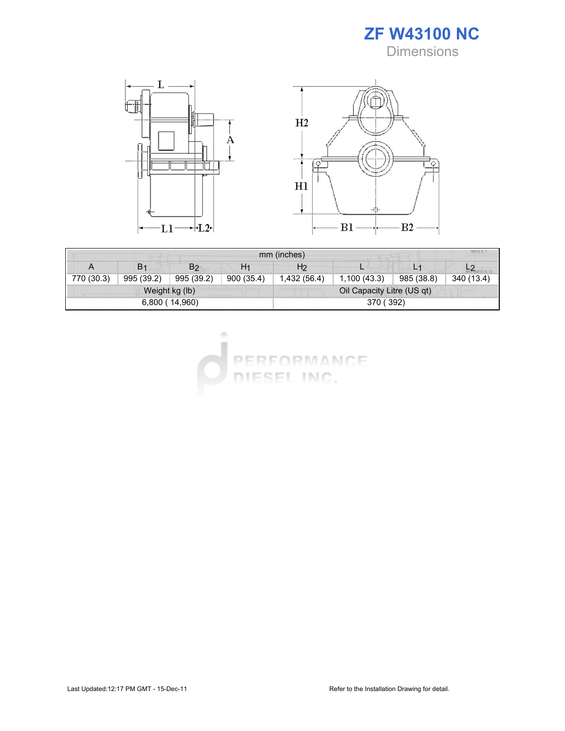



| MIU X 1<br>mm (inches) |                |                |                            |                |             |            |            |  |  |
|------------------------|----------------|----------------|----------------------------|----------------|-------------|------------|------------|--|--|
| A                      | B <sub>1</sub> | B <sub>2</sub> | H1                         | H <sub>2</sub> |             | U          |            |  |  |
| 770 (30.3)             | 995 (39.2)     | 995 (39.2)     | 900(35.4)                  | 1,432 (56.4)   | 1,100(43.3) | 985 (38.8) | 340 (13.4) |  |  |
| Weight kg (lb)         |                |                | Oil Capacity Litre (US qt) |                |             |            |            |  |  |
| 6,800 (14,960)         |                |                | 370 (392)                  |                |             |            |            |  |  |

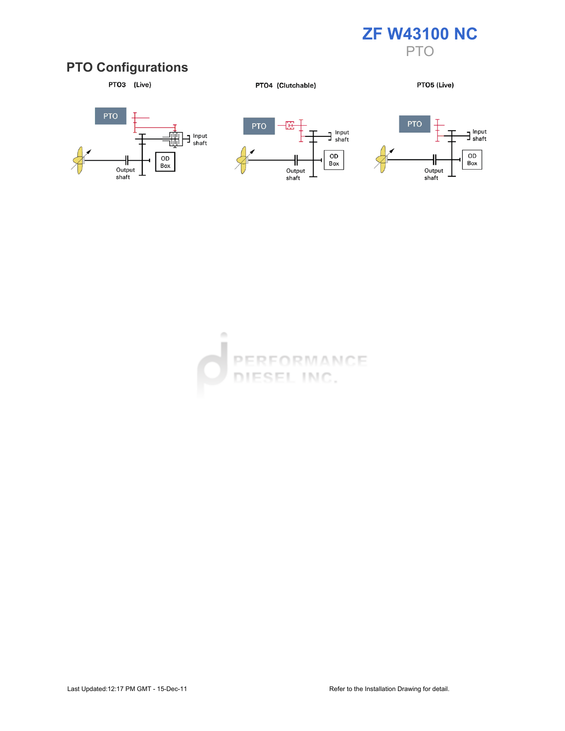

#### PTO Configurations



PTO4 (Clutchable)

PTO5 (Live)